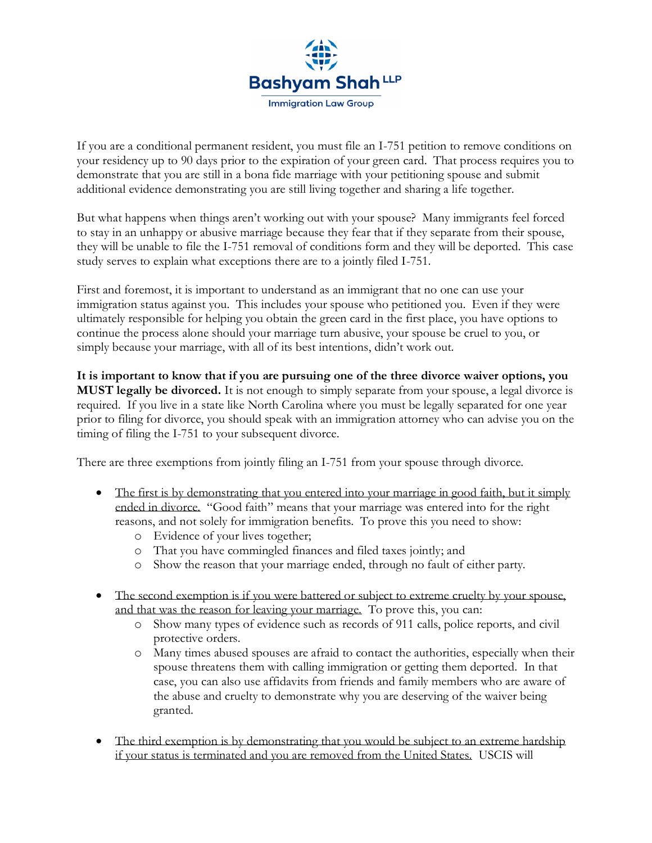

If you are a conditional permanent resident, you must file an I-751 petition to remove conditions on your residency up to 90 days prior to the expiration of your green card. That process requires you to demonstrate that you are still in a bona fide marriage with your petitioning spouse and submit additional evidence demonstrating you are still living together and sharing a life together.

But what happens when things aren't working out with your spouse? Many immigrants feel forced to stay in an unhappy or abusive marriage because they fear that if they separate from their spouse, they will be unable to file the I-751 removal of conditions form and they will be deported. This case study serves to explain what exceptions there are to a jointly filed I-751.

First and foremost, it is important to understand as an immigrant that no one can use your immigration status against you. This includes your spouse who petitioned you. Even if they were ultimately responsible for helping you obtain the green card in the first place, you have options to continue the process alone should your marriage turn abusive, your spouse be cruel to you, or simply because your marriage, with all of its best intentions, didn't work out.

**It is important to know that if you are pursuing one of the three divorce waiver options, you MUST legally be divorced.** It is not enough to simply separate from your spouse, a legal divorce is required. If you live in a state like North Carolina where you must be legally separated for one year prior to filing for divorce, you should speak with an immigration attorney who can advise you on the timing of filing the I-751 to your subsequent divorce.

There are three exemptions from jointly filing an I-751 from your spouse through divorce.

- The first is by demonstrating that you entered into your marriage in good faith, but it simply ended in divorce. "Good faith" means that your marriage was entered into for the right reasons, and not solely for immigration benefits. To prove this you need to show:
	- o Evidence of your lives together;
	- o That you have commingled finances and filed taxes jointly; and
	- o Show the reason that your marriage ended, through no fault of either party.
- The second exemption is if you were battered or subject to extreme cruelty by your spouse, and that was the reason for leaving your marriage. To prove this, you can:
	- o Show many types of evidence such as records of 911 calls, police reports, and civil protective orders.
	- o Many times abused spouses are afraid to contact the authorities, especially when their spouse threatens them with calling immigration or getting them deported. In that case, you can also use affidavits from friends and family members who are aware of the abuse and cruelty to demonstrate why you are deserving of the waiver being granted.
- The third exemption is by demonstrating that you would be subject to an extreme hardship if your status is terminated and you are removed from the United States. USCIS will